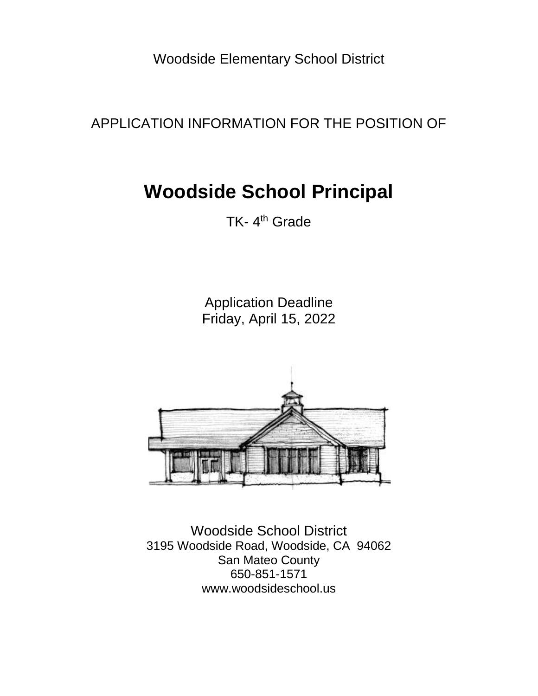Woodside Elementary School District

APPLICATION INFORMATION FOR THE POSITION OF

# **Woodside School Principal**

TK-4<sup>th</sup> Grade

Application Deadline Friday, April 15, 2022



Woodside School District 3195 Woodside Road, Woodside, CA 94062 San Mateo County 650-851-1571 www.woodsideschool.us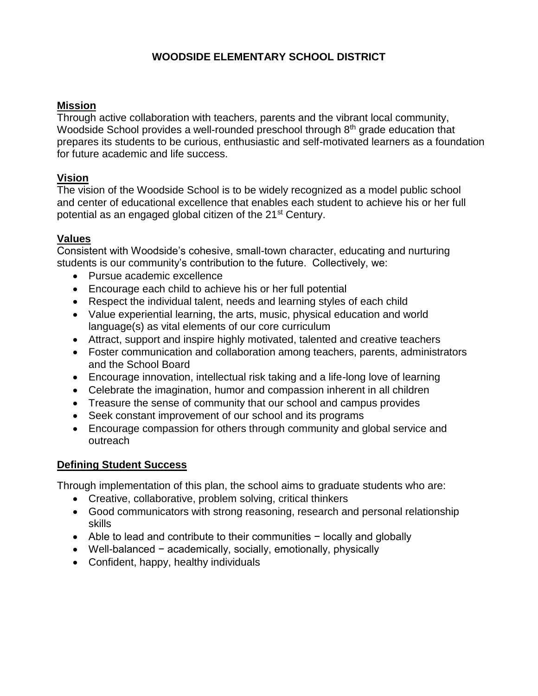#### **WOODSIDE ELEMENTARY SCHOOL DISTRICT**

#### **Mission**

Through active collaboration with teachers, parents and the vibrant local community, Woodside School provides a well-rounded preschool through 8<sup>th</sup> grade education that prepares its students to be curious, enthusiastic and self-motivated learners as a foundation for future academic and life success.

#### **Vision**

The vision of the Woodside School is to be widely recognized as a model public school and center of educational excellence that enables each student to achieve his or her full potential as an engaged global citizen of the 21<sup>st</sup> Century.

#### **Values**

Consistent with Woodside's cohesive, small-town character, educating and nurturing students is our community's contribution to the future. Collectively, we:

- Pursue academic excellence
- Encourage each child to achieve his or her full potential
- Respect the individual talent, needs and learning styles of each child
- Value experiential learning, the arts, music, physical education and world language(s) as vital elements of our core curriculum
- Attract, support and inspire highly motivated, talented and creative teachers
- Foster communication and collaboration among teachers, parents, administrators and the School Board
- Encourage innovation, intellectual risk taking and a life-long love of learning
- Celebrate the imagination, humor and compassion inherent in all children
- Treasure the sense of community that our school and campus provides
- Seek constant improvement of our school and its programs
- Encourage compassion for others through community and global service and outreach

#### **Defining Student Success**

Through implementation of this plan, the school aims to graduate students who are:

- Creative, collaborative, problem solving, critical thinkers
- Good communicators with strong reasoning, research and personal relationship skills
- Able to lead and contribute to their communities − locally and globally
- Well-balanced − academically, socially, emotionally, physically
- Confident, happy, healthy individuals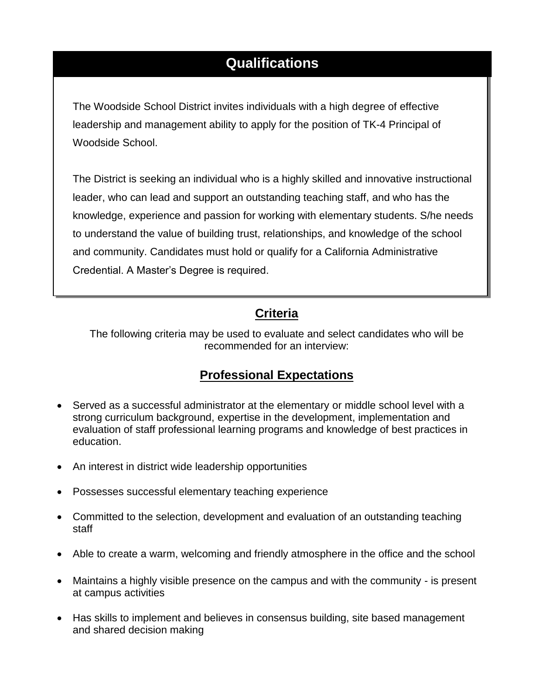## **Qualifications**

The Woodside School District invites individuals with a high degree of effective leadership and management ability to apply for the position of TK-4 Principal of Woodside School.

The District is seeking an individual who is a highly skilled and innovative instructional leader, who can lead and support an outstanding teaching staff, and who has the knowledge, experience and passion for working with elementary students. S/he needs to understand the value of building trust, relationships, and knowledge of the school and community. Candidates must hold or qualify for a California Administrative Credential. A Master's Degree is required.

#### **Criteria**

The following criteria may be used to evaluate and select candidates who will be recommended for an interview:

## **Professional Expectations**

- Served as a successful administrator at the elementary or middle school level with a strong curriculum background, expertise in the development, implementation and evaluation of staff professional learning programs and knowledge of best practices in education.
- An interest in district wide leadership opportunities
- Possesses successful elementary teaching experience
- Committed to the selection, development and evaluation of an outstanding teaching staff
- Able to create a warm, welcoming and friendly atmosphere in the office and the school
- Maintains a highly visible presence on the campus and with the community is present at campus activities
- Has skills to implement and believes in consensus building, site based management and shared decision making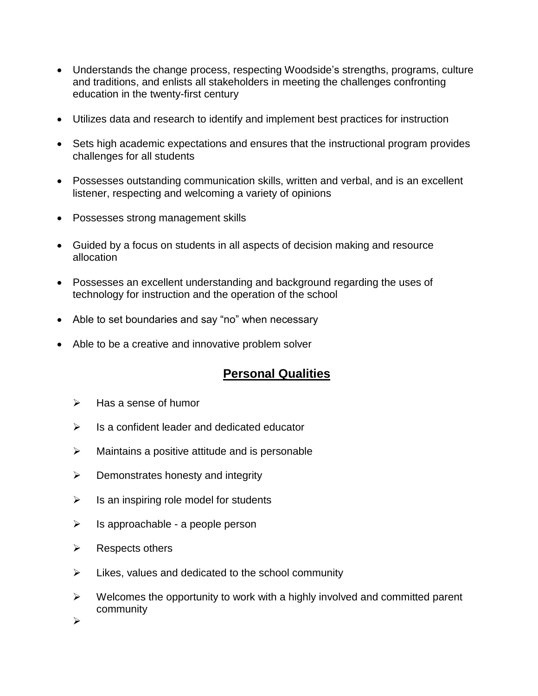- Understands the change process, respecting Woodside's strengths, programs, culture and traditions, and enlists all stakeholders in meeting the challenges confronting education in the twenty-first century
- Utilizes data and research to identify and implement best practices for instruction
- Sets high academic expectations and ensures that the instructional program provides challenges for all students
- Possesses outstanding communication skills, written and verbal, and is an excellent listener, respecting and welcoming a variety of opinions
- Possesses strong management skills
- Guided by a focus on students in all aspects of decision making and resource allocation
- Possesses an excellent understanding and background regarding the uses of technology for instruction and the operation of the school
- Able to set boundaries and say "no" when necessary
- Able to be a creative and innovative problem solver

## **Personal Qualities**

- $\triangleright$  Has a sense of humor
- ➢ Is a confident leader and dedicated educator
- $\triangleright$  Maintains a positive attitude and is personable
- $\triangleright$  Demonstrates honesty and integrity
- $\triangleright$  Is an inspiring role model for students
- $\triangleright$  Is approachable a people person
- $\triangleright$  Respects others
- ➢ Likes, values and dedicated to the school community
- $\triangleright$  Welcomes the opportunity to work with a highly involved and committed parent community

➢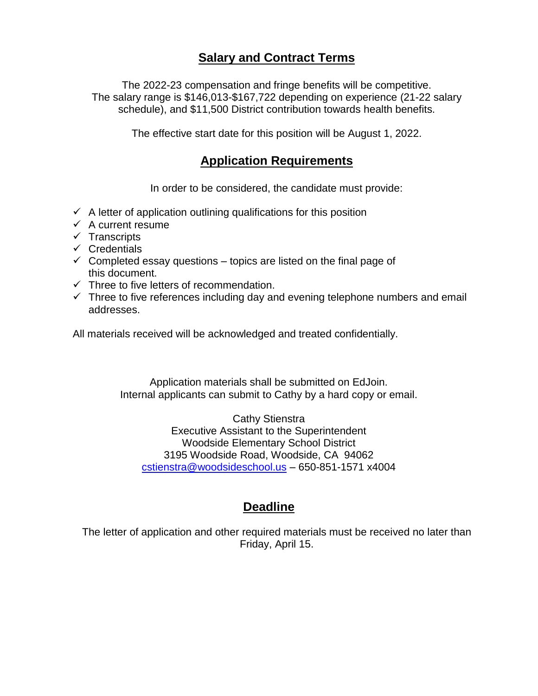## **Salary and Contract Terms**

The 2022-23 compensation and fringe benefits will be competitive. The salary range is \$146,013-\$167,722 depending on experience (21-22 salary schedule), and \$11,500 District contribution towards health benefits.

The effective start date for this position will be August 1, 2022.

#### **Application Requirements**

In order to be considered, the candidate must provide:

- $\checkmark$  A letter of application outlining qualifications for this position
- $\checkmark$  A current resume
- ✓ Transcripts
- ✓ Credentials
- $\checkmark$  Completed essay questions topics are listed on the final page of this document.
- ✓ Three to five letters of recommendation.
- $\checkmark$  Three to five references including day and evening telephone numbers and email addresses.

All materials received will be acknowledged and treated confidentially.

Application materials shall be submitted on EdJoin. Internal applicants can submit to Cathy by a hard copy or email.

Cathy Stienstra Executive Assistant to the Superintendent Woodside Elementary School District 3195 Woodside Road, Woodside, CA 94062 [cstienstra@woodsideschool.us](mailto:cstienstra@woodsideschool.us) – 650-851-1571 x4004

## **Deadline**

The letter of application and other required materials must be received no later than Friday, April 15.